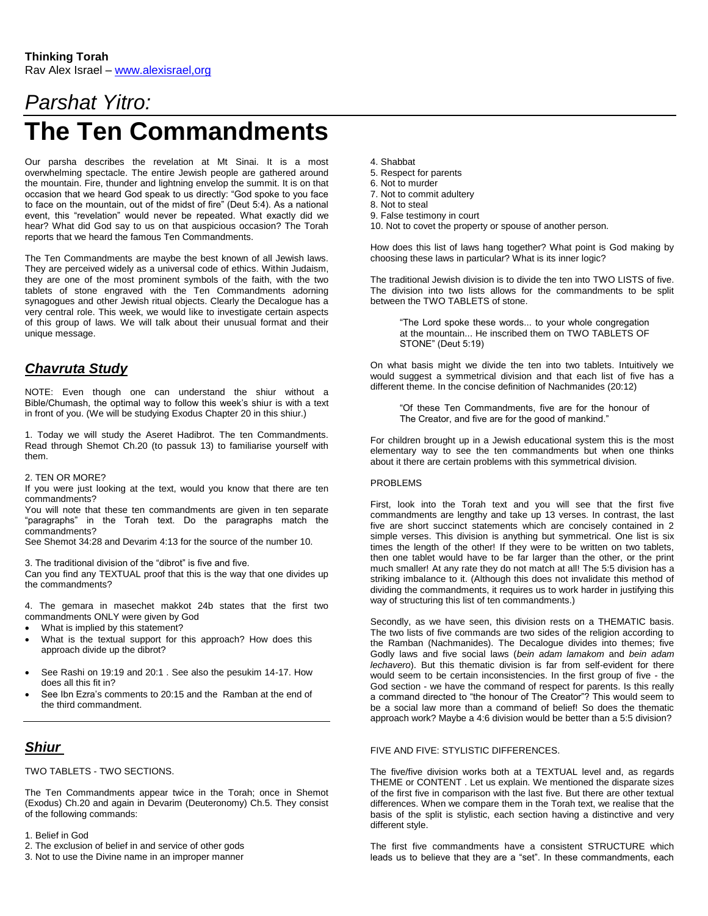# *Parshat Yitro:* **The Ten Commandments**

Our parsha describes the revelation at Mt Sinai. It is a most overwhelming spectacle. The entire Jewish people are gathered around the mountain. Fire, thunder and lightning envelop the summit. It is on that occasion that we heard God speak to us directly: "God spoke to you face to face on the mountain, out of the midst of fire" (Deut 5:4). As a national event, this "revelation" would never be repeated. What exactly did we hear? What did God say to us on that auspicious occasion? The Torah reports that we heard the famous Ten Commandments.

The Ten Commandments are maybe the best known of all Jewish laws. They are perceived widely as a universal code of ethics. Within Judaism, they are one of the most prominent symbols of the faith, with the two tablets of stone engraved with the Ten Commandments adorning synagogues and other Jewish ritual objects. Clearly the Decalogue has a very central role. This week, we would like to investigate certain aspects of this group of laws. We will talk about their unusual format and their unique message.

# *Chavruta Study*

NOTE: Even though one can understand the shiur without a Bible/Chumash, the optimal way to follow this week's shiur is with a text in front of you. (We will be studying Exodus Chapter 20 in this shiur.)

1. Today we will study the Aseret Hadibrot. The ten Commandments. Read through Shemot Ch.20 (to passuk 13) to familiarise yourself with them.

## 2. TEN OR MORE?

If you were just looking at the text, would you know that there are ten commandments?

You will note that these ten commandments are given in ten separate "paragraphs" in the Torah text. Do the paragraphs match the commandments?

See Shemot 34:28 and Devarim 4:13 for the source of the number 10.

3. The traditional division of the "dibrot" is five and five.

Can you find any TEXTUAL proof that this is the way that one divides up the commandments?

4. The gemara in masechet makkot 24b states that the first two commandments ONLY were given by God

- What is implied by this statement?
- What is the textual support for this approach? How does this approach divide up the dibrot?
- See Rashi on 19:19 and 20:1 . See also the pesukim 14-17. How does all this fit in?
- See Ibn Ezra's comments to 20:15 and the Ramban at the end of the third commandment.

# *Shiur*

TWO TABLETS - TWO SECTIONS.

The Ten Commandments appear twice in the Torah; once in Shemot (Exodus) Ch.20 and again in Devarim (Deuteronomy) Ch.5. They consist of the following commands:

1. Belief in God

2. The exclusion of belief in and service of other gods 3. Not to use the Divine name in an improper manner

- 4. Shabbat
- 5. Respect for parents
- 6. Not to murder
- 7. Not to commit adultery
- 8. Not to steal
- 9. False testimony in court
- 10. Not to covet the property or spouse of another person.

How does this list of laws hang together? What point is God making by choosing these laws in particular? What is its inner logic?

The traditional Jewish division is to divide the ten into TWO LISTS of five. The division into two lists allows for the commandments to be split between the TWO TABLETS of stone.

"The Lord spoke these words... to your whole congregation at the mountain... He inscribed them on TWO TABLETS OF STONE" (Deut 5:19)

On what basis might we divide the ten into two tablets. Intuitively we would suggest a symmetrical division and that each list of five has a different theme. In the concise definition of Nachmanides (20:12)

"Of these Ten Commandments, five are for the honour of The Creator, and five are for the good of mankind."

For children brought up in a Jewish educational system this is the most elementary way to see the ten commandments but when one thinks about it there are certain problems with this symmetrical division.

## PROBLEMS

First, look into the Torah text and you will see that the first five commandments are lengthy and take up 13 verses. In contrast, the last five are short succinct statements which are concisely contained in 2 simple verses. This division is anything but symmetrical. One list is six times the length of the other! If they were to be written on two tablets, then one tablet would have to be far larger than the other, or the print much smaller! At any rate they do not match at all! The 5:5 division has a striking imbalance to it. (Although this does not invalidate this method of dividing the commandments, it requires us to work harder in justifying this way of structuring this list of ten commandments.)

Secondly, as we have seen, this division rests on a THEMATIC basis. The two lists of five commands are two sides of the religion according to the Ramban (Nachmanides). The Decalogue divides into themes; five Godly laws and five social laws (*bein adam lamakom* and *bein adam lechavero*). But this thematic division is far from self-evident for there would seem to be certain inconsistencies. In the first group of five - the God section - we have the command of respect for parents. Is this really a command directed to "the honour of The Creator"? This would seem to be a social law more than a command of belief! So does the thematic approach work? Maybe a 4:6 division would be better than a 5:5 division?

## FIVE AND FIVE: STYLISTIC DIFFERENCES.

The five/five division works both at a TEXTUAL level and, as regards THEME or CONTENT . Let us explain. We mentioned the disparate sizes of the first five in comparison with the last five. But there are other textual differences. When we compare them in the Torah text, we realise that the basis of the split is stylistic, each section having a distinctive and very different style.

The first five commandments have a consistent STRUCTURE which leads us to believe that they are a "set". In these commandments, each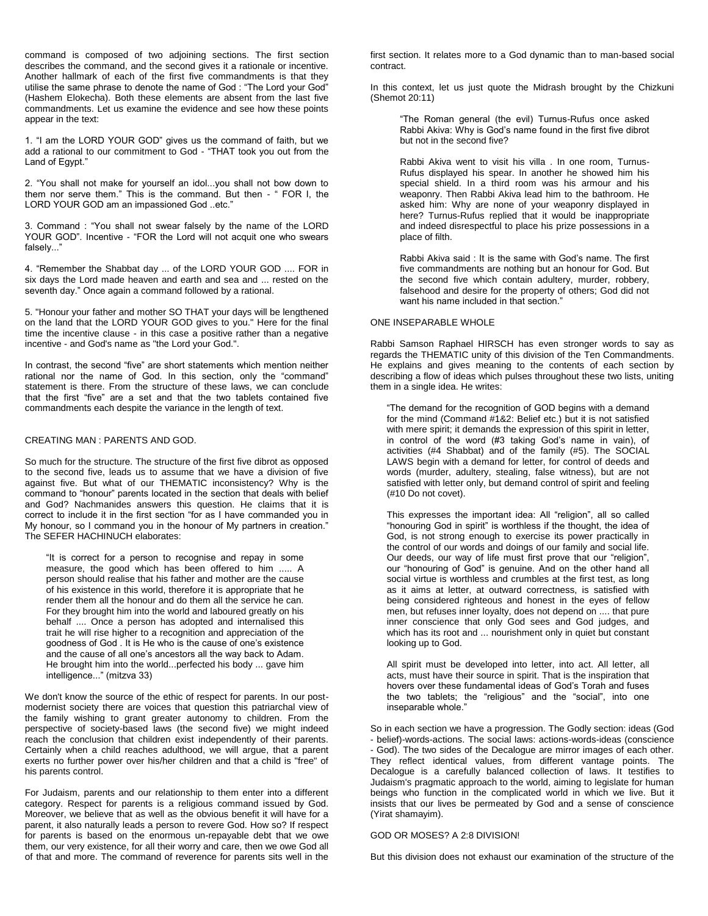command is composed of two adjoining sections. The first section describes the command, and the second gives it a rationale or incentive. Another hallmark of each of the first five commandments is that they utilise the same phrase to denote the name of God : "The Lord your God" (Hashem Elokecha). Both these elements are absent from the last five commandments. Let us examine the evidence and see how these points appear in the text:

1. "I am the LORD YOUR GOD" gives us the command of faith, but we add a rational to our commitment to God - "THAT took you out from the Land of Egypt."

2. "You shall not make for yourself an idol...you shall not bow down to them nor serve them." This is the command. But then - " FOR I, the LORD YOUR GOD am an impassioned God ..etc."

3. Command : "You shall not swear falsely by the name of the LORD YOUR GOD". Incentive - "FOR the Lord will not acquit one who swears falsely..."

4. "Remember the Shabbat day ... of the LORD YOUR GOD .... FOR in six days the Lord made heaven and earth and sea and ... rested on the seventh day." Once again a command followed by a rational.

5. "Honour your father and mother SO THAT your days will be lengthened on the land that the LORD YOUR GOD gives to you." Here for the final time the incentive clause - in this case a positive rather than a negative incentive - and God's name as "the Lord your God.".

In contrast, the second "five" are short statements which mention neither rational nor the name of God. In this section, only the "command" statement is there. From the structure of these laws, we can conclude that the first "five" are a set and that the two tablets contained five commandments each despite the variance in the length of text.

#### CREATING MAN : PARENTS AND GOD.

So much for the structure. The structure of the first five dibrot as opposed to the second five, leads us to assume that we have a division of five against five. But what of our THEMATIC inconsistency? Why is the command to "honour" parents located in the section that deals with belief and God? Nachmanides answers this question. He claims that it is correct to include it in the first section "for as I have commanded you in My honour, so I command you in the honour of My partners in creation." The SEFER HACHINUCH elaborates:

"It is correct for a person to recognise and repay in some measure, the good which has been offered to him ..... A person should realise that his father and mother are the cause of his existence in this world, therefore it is appropriate that he render them all the honour and do them all the service he can. For they brought him into the world and laboured greatly on his behalf .... Once a person has adopted and internalised this trait he will rise higher to a recognition and appreciation of the goodness of God . It is He who is the cause of one's existence and the cause of all one's ancestors all the way back to Adam. He brought him into the world...perfected his body ... gave him intelligence..." (mitzva 33)

We don't know the source of the ethic of respect for parents. In our postmodernist society there are voices that question this patriarchal view of the family wishing to grant greater autonomy to children. From the perspective of society-based laws (the second five) we might indeed reach the conclusion that children exist independently of their parents. Certainly when a child reaches adulthood, we will argue, that a parent exerts no further power over his/her children and that a child is "free" of his parents control.

For Judaism, parents and our relationship to them enter into a different category. Respect for parents is a religious command issued by God. Moreover, we believe that as well as the obvious benefit it will have for a parent, it also naturally leads a person to revere God. How so? If respect for parents is based on the enormous un-repayable debt that we owe them, our very existence, for all their worry and care, then we owe God all of that and more. The command of reverence for parents sits well in the

first section. It relates more to a God dynamic than to man-based social contract.

In this context, let us just quote the Midrash brought by the Chizkuni (Shemot 20:11)

"The Roman general (the evil) Turnus-Rufus once asked Rabbi Akiva: Why is God's name found in the first five dibrot but not in the second five?

Rabbi Akiva went to visit his villa . In one room, Turnus-Rufus displayed his spear. In another he showed him his special shield. In a third room was his armour and his weaponry. Then Rabbi Akiva lead him to the bathroom. He asked him: Why are none of your weaponry displayed in here? Turnus-Rufus replied that it would be inappropriate and indeed disrespectful to place his prize possessions in a place of filth.

Rabbi Akiva said : It is the same with God's name. The first five commandments are nothing but an honour for God. But the second five which contain adultery, murder, robbery, falsehood and desire for the property of others; God did not want his name included in that section."

#### ONE INSEPARABLE WHOLE

Rabbi Samson Raphael HIRSCH has even stronger words to say as regards the THEMATIC unity of this division of the Ten Commandments. He explains and gives meaning to the contents of each section by describing a flow of ideas which pulses throughout these two lists, uniting them in a single idea. He writes:

"The demand for the recognition of GOD begins with a demand for the mind (Command #1&2: Belief etc.) but it is not satisfied with mere spirit; it demands the expression of this spirit in letter, in control of the word (#3 taking God's name in vain), of activities (#4 Shabbat) and of the family (#5). The SOCIAL LAWS begin with a demand for letter, for control of deeds and words (murder, adultery, stealing, false witness), but are not satisfied with letter only, but demand control of spirit and feeling (#10 Do not covet).

This expresses the important idea: All "religion", all so called "honouring God in spirit" is worthless if the thought, the idea of God, is not strong enough to exercise its power practically in the control of our words and doings of our family and social life. Our deeds, our way of life must first prove that our "religion", our "honouring of God" is genuine. And on the other hand all social virtue is worthless and crumbles at the first test, as long as it aims at letter, at outward correctness, is satisfied with being considered righteous and honest in the eyes of fellow men, but refuses inner loyalty, does not depend on .... that pure inner conscience that only God sees and God judges, and which has its root and ... nourishment only in quiet but constant looking up to God.

All spirit must be developed into letter, into act. All letter, all acts, must have their source in spirit. That is the inspiration that hovers over these fundamental ideas of God's Torah and fuses the two tablets; the "religious" and the "social", into one inseparable whole."

So in each section we have a progression. The Godly section: ideas (God - belief)-words-actions. The social laws: actions-words-ideas (conscience - God). The two sides of the Decalogue are mirror images of each other. They reflect identical values, from different vantage points. The Decalogue is a carefully balanced collection of laws. It testifies to Judaism's pragmatic approach to the world, aiming to legislate for human beings who function in the complicated world in which we live. But it insists that our lives be permeated by God and a sense of conscience (Yirat shamayim).

#### GOD OR MOSES? A 2:8 DIVISION!

But this division does not exhaust our examination of the structure of the